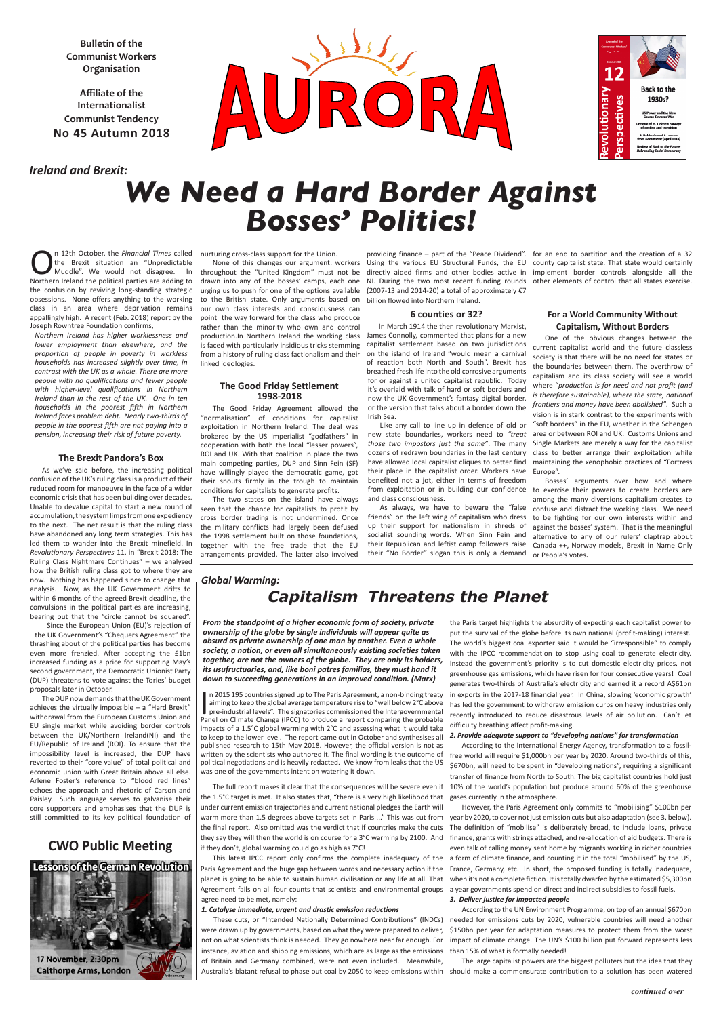**Bulletin of the Communist Workers Organisation**

**Affiliate of the Internationalist Communist Tendency No 45 Autumn 2018**

*Global Warming:*

# *Capitalism Threatens the Planet*

nurturing cross-class support for the Union.

throughout the "United Kingdom" must not be drawn into any of the bosses' camps, each one to the British state. Only arguments based on billion flowed into Northern Ireland. our own class interests and consciousness can point the way forward for the class who produce rather than the minority who own and control from a history of ruling class factionalism and their linked ideologies.

## **The Good Friday Settlement 1998-2018**

The Good Friday Agreement allowed the "normalisation" of conditions for capitalist exploitation in Northern Ireland. The deal was brokered by the US imperialist "godfathers" in cooperation with both the local "lesser powers", ROI and UK. With that coalition in place the two main competing parties, DUP and Sinn Fein (SF) have willingly played the democratic game, got their snouts firmly in the trough to maintain conditions for capitalists to generate profits.

The two states on the island have always seen that the chance for capitalists to profit by cross border trading is not undermined. Once the military conflicts had largely been defused the 1998 settlement built on those foundations, together with the free trade that the EU arrangements provided. The latter also involved

production.In Northern Ireland the working class James Connolly, commented that plans for a new is faced with particularly insidious tricks stemming capitalist settlement based on two jurisdictions In March 1914 the then revolutionary Marxist, on the island of Ireland "would mean a carnival of reaction both North and South". Brexit has breathed fresh life into the old corrosive arguments for or against a united capitalist republic. Today it's overlaid with talk of hard or soft borders and now the UK Government's fantasy digital border, or the version that talks about a border down the Irish Sea.

None of this changes our argument: workers Using the various EU Structural Funds, the EU county capitalist state. That state would certainly directly aided firms and other bodies active in implement border controls alongside all the NI. During the two most recent funding rounds other elements of control that all states exercise.

urging us to push for one of the options available (2007-13 and 2014-20) a total of approximately €7 providing finance – part of the "Peace Dividend". for an end to partition and the creation of a 32

#### **6 counties or 32?**

Like any call to line up in defence of old or new state boundaries, workers need to *"treat those two impostors just the same"*. The many dozens of redrawn boundaries in the last century have allowed local capitalist cliques to better find their place in the capitalist order. Workers have benefited not a jot, either in terms of freedom from exploitation or in building our confidence to exercise their powers to create borders are and class consciousness.

In 2015 195 countries signed up to The Paris Agreement, a non-binding treaty<br>aiming to keep the global average temperature rise to "well below 2°C above<br>pre-industrial levels". The signatories commissioned the Intergovernm n 2015 195 countries signed up to The Paris Agreement, a non-binding treaty aiming to keep the global average temperature rise to "well below 2°C above pre-industrial levels". The signatories commissioned the Intergovernmental impacts of a 1.5°C global warming with 2°C and assessing what it would take to keep to the lower level. The report came out in October and synthesises all published research to 15th May 2018. However, the official version is not as written by the scientists who authored it. The final wording is the outcome of political negotiations and is heavily redacted. We know from leaks that the US

As always, we have to beware the "false friends" on the left wing of capitalism who dress up their support for nationalism in shreds of socialist sounding words. When Sinn Fein and their Republican and leftist camp followers raise their "No Border" slogan this is only a demand

# **For a World Community Without Capitalism, Without Borders**

One of the obvious changes between the current capitalist world and the future classless society is that there will be no need for states or the boundaries between them. The overthrow of capitalism and its class society will see a world where "*production is for need and not profit (and is therefore sustainable), where the state, national frontiers and money have been abolished"*. Such a vision is in stark contrast to the experiments with "soft borders" in the EU, whether in the Schengen area or between ROI and UK. Customs Unions and Single Markets are merely a way for the capitalist class to better arrange their exploitation while maintaining the xenophobic practices of "Fortress Europe".

The full report makes it clear that the consequences will be severe even if 10% of the world's population but produce around 60% of the greenhouse According to the International Energy Agency, transformation to a fossilfree world will require \$1,000bn per year by 2020. Around two-thirds of this, \$670bn, will need to be spent in "developing nations", requiring a significant transfer of finance from North to South. The big capitalist countries hold just gases currently in the atmosphere.

Bosses' arguments over how and where among the many diversions capitalism creates to confuse and distract the working class. We need to be fighting for our own interests within and against the bosses' system. That is the meaningful alternative to any of our rulers' claptrap about Canada ++, Norway models, Brexit in Name Only or People's votes**.**

*From the standpoint of a higher economic form of society, private ownership of the globe by single individuals will appear quite as absurd as private ownership of one man by another. Even a whole society, a nation, or even all simultaneously existing societies taken together, are not the owners of the globe. They are only its holders, its usufructuaries, and, like boni patres familias, they must hand it down to succeeding generations in an improved condition. (Marx)*

was one of the governments intent on watering it down.

the 1.5°C target is met. It also states that, "there is a very high likelihood that under current emission trajectories and current national pledges the Earth will warm more than 1.5 degrees above targets set in Paris ..." This was cut from the final report. Also omitted was the verdict that if countries make the cuts they say they will then the world is on course for a 3°C warming by 2100. And if they don't, global warming could go as high as 7°C!

This latest IPCC report only confirms the complete inadequacy of the Paris Agreement and the huge gap between words and necessary action if the planet is going to be able to sustain human civilisation or any life at all. That Agreement fails on all four counts that scientists and environmental groups agree need to be met, namely:

#### *1. Catalyse immediate, urgent and drastic emission reductions*

were drawn up by governments, based on what they were prepared to deliver, not on what scientists think is needed. They go nowhere near far enough. For instance, aviation and shipping emissions, which are as large as the emissions of Britain and Germany combined, were not even included. Meanwhile,

the Paris target highlights the absurdity of expecting each capitalist power to put the survival of the globe before its own national (profit-making) interest. The world's biggest coal exporter said it would be "irresponsible" to comply with the IPCC recommendation to stop using coal to generate electricity. Instead the government's priority is to cut domestic electricity prices, not greenhouse gas emissions, which have risen for four consecutive years! Coal generates two-thirds of Australia's electricity and earned it a record A\$61bn in exports in the 2017-18 financial year. In China, slowing 'economic growth' has led the government to withdraw emission curbs on heavy industries only recently introduced to reduce disastrous levels of air pollution. Can't let difficulty breathing affect profit-making.

## *2. Provide adequate support to "developing nations" for transformation*

These cuts, or "Intended Nationally Determined Contributions" (INDCs) needed for emissions cuts by 2020, vulnerable countries will need another According to the UN Environment Programme, on top of an annual \$670bn \$150bn per year for adaptation measures to protect them from the worst impact of climate change. The UN's \$100 billion put forward represents less than 15% of what is formally needed!

Australia's blatant refusal to phase out coal by 2050 to keep emissions within should make a commensurate contribution to a solution has been watered The large capitalist powers are the biggest polluters but the idea that they

However, the Paris Agreement only commits to "mobilising" \$100bn per year by 2020, to cover not just emission cuts but also adaptation (see 3, below). The definition of "mobilise" is deliberately broad, to include loans, private finance, grants with strings attached, and re-allocation of aid budgets. There is even talk of calling money sent home by migrants working in richer countries a form of climate finance, and counting it in the total "mobilised" by the US, France, Germany, etc. In short, the proposed funding is totally inadequate, when it's not a complete fiction. It is totally dwarfed by the estimated \$5,300bn a year governments spend on direct and indirect subsidies to fossil fuels.

#### *3. Deliver justice for impacted people*

# *Ireland and Brexit:*





# *We Need a Hard Border Against Bosses' Politics!*

On 12th October, the *Financial Times* called the Brexit situation an "Unpredictable Muddle". We would not disagree. In Northern Ireland the political parties are adding to the confusion by reviving long-standing strategic obsessions. None offers anything to the working class in an area where deprivation remains appallingly high. A recent (Feb. 2018) report by the Joseph Rowntree Foundation confirms,

*Northern Ireland has higher worklessness and lower employment than elsewhere, and the proportion of people in poverty in workless households has increased slightly over time, in contrast with the UK as a whole. There are more people with no qualifications and fewer people with higher-level qualifications in Northern Ireland than in the rest of the UK. One in ten households in the poorest fifth in Northern Ireland faces problem debt. Nearly two-thirds of people in the poorest fifth are not paying into a pension, increasing their risk of future poverty.*

#### **The Brexit Pandora's Box**

As we've said before, the increasing political confusion of the UK's ruling class is a product of their reduced room for manoeuvre in the face of a wider economic crisis that has been building over decades. Unable to devalue capital to start a new round of accumulation, the system limps from one expediency to the next. The net result is that the ruling class have abandoned any long term strategies. This has led them to wander into the Brexit minefield. In *Revolutionary Perspectives* 11, in "Brexit 2018: The Ruling Class Nightmare Continues" – we analysed how the British ruling class got to where they are now. Nothing has happened since to change that analysis. Now, as the UK Government drifts to within 6 months of the agreed Brexit deadline, the convulsions in the political parties are increasing, bearing out that the "circle cannot be squared".

Since the European Union (EU)'s rejection of the UK Government's "Chequers Agreement" the thrashing about of the political parties has become even more frenzied. After accepting the £1bn increased funding as a price for supporting May's second government, the Democratic Unionist Party (DUP) threatens to vote against the Tories' budget proposals later in October.

The DUP now demands that the UK Government achieves the virtually impossible – a "Hard Brexit" withdrawal from the European Customs Union and EU single market while avoiding border controls between the UK/Northern Ireland(NI) and the EU/Republic of Ireland (ROI). To ensure that the impossibility level is increased, the DUP have reverted to their "core value" of total political and economic union with Great Britain above all else. Arlene Foster's reference to "blood red lines" echoes the approach and rhetoric of Carson and Paisley. Such language serves to galvanise their core supporters and emphasises that the DUP is still committed to its key political foundation of

# **CWO Public Meeting**



#### *continued over*